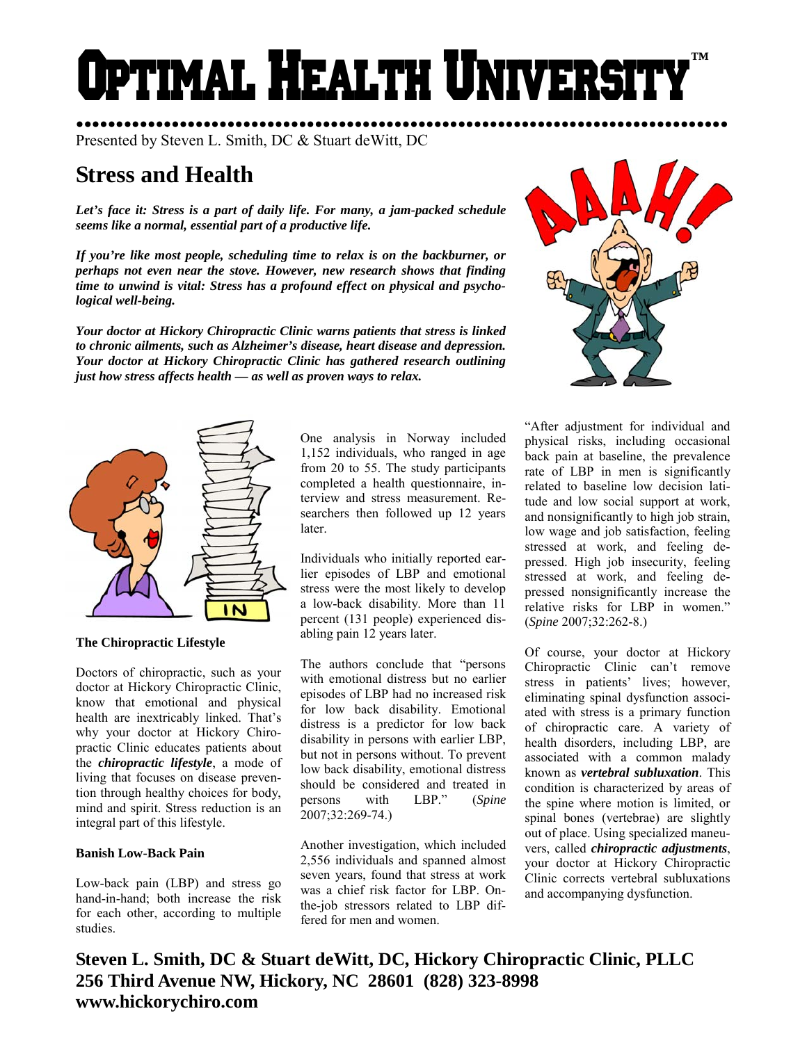# PTIMAL HEALTH UNIVERS **™**

●●●●●●●●●●●●●●●●●●●●●●●●●●●●●●●●●●●●●●●●●●●●●●●●●●●●●●●●●●●●●●●●●●●●●●●●●●●●●●●●●● Presented by Steven L. Smith, DC & Stuart deWitt, DC

# **Stress and Health**

*Let's face it: Stress is a part of daily life. For many, a jam-packed schedule seems like a normal, essential part of a productive life.* 

*If you're like most people, scheduling time to relax is on the backburner, or perhaps not even near the stove. However, new research shows that finding time to unwind is vital: Stress has a profound effect on physical and psychological well-being.* 

*Your doctor at Hickory Chiropractic Clinic warns patients that stress is linked to chronic ailments, such as Alzheimer's disease, heart disease and depression. Your doctor at Hickory Chiropractic Clinic has gathered research outlining just how stress affects health — as well as proven ways to relax.* 



**The Chiropractic Lifestyle** 

Doctors of chiropractic, such as your doctor at Hickory Chiropractic Clinic, know that emotional and physical health are inextricably linked. That's why your doctor at Hickory Chiropractic Clinic educates patients about the *chiropractic lifestyle*, a mode of living that focuses on disease prevention through healthy choices for body, mind and spirit. Stress reduction is an integral part of this lifestyle.

# **Banish Low-Back Pain**

Low-back pain (LBP) and stress go hand-in-hand; both increase the risk for each other, according to multiple studies.

One analysis in Norway included 1,152 individuals, who ranged in age from 20 to 55. The study participants completed a health questionnaire, interview and stress measurement. Researchers then followed up 12 years later.

Individuals who initially reported earlier episodes of LBP and emotional stress were the most likely to develop a low-back disability. More than 11 percent (131 people) experienced disabling pain 12 years later.

The authors conclude that "persons with emotional distress but no earlier episodes of LBP had no increased risk for low back disability. Emotional distress is a predictor for low back disability in persons with earlier LBP, but not in persons without. To prevent low back disability, emotional distress should be considered and treated in persons with LBP." (*Spine* 2007;32:269-74.)

Another investigation, which included 2,556 individuals and spanned almost seven years, found that stress at work was a chief risk factor for LBP. Onthe-job stressors related to LBP differed for men and women.



"After adjustment for individual and physical risks, including occasional back pain at baseline, the prevalence rate of LBP in men is significantly related to baseline low decision latitude and low social support at work, and nonsignificantly to high job strain, low wage and job satisfaction, feeling stressed at work, and feeling depressed. High job insecurity, feeling stressed at work, and feeling depressed nonsignificantly increase the relative risks for LBP in women." (*Spine* 2007;32:262-8.)

Of course, your doctor at Hickory Chiropractic Clinic can't remove stress in patients' lives; however, eliminating spinal dysfunction associated with stress is a primary function of chiropractic care. A variety of health disorders, including LBP, are associated with a common malady known as *vertebral subluxation*. This condition is characterized by areas of the spine where motion is limited, or spinal bones (vertebrae) are slightly out of place. Using specialized maneuvers, called *chiropractic adjustments*, your doctor at Hickory Chiropractic Clinic corrects vertebral subluxations and accompanying dysfunction.

**Steven L. Smith, DC & Stuart deWitt, DC, Hickory Chiropractic Clinic, PLLC 256 Third Avenue NW, Hickory, NC 28601 (828) 323-8998 www.hickorychiro.com**